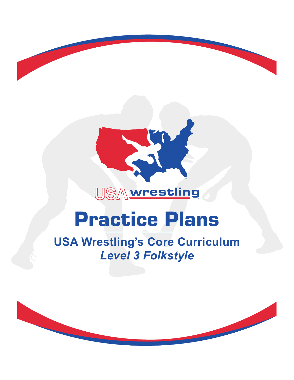

®

# Practice Plans

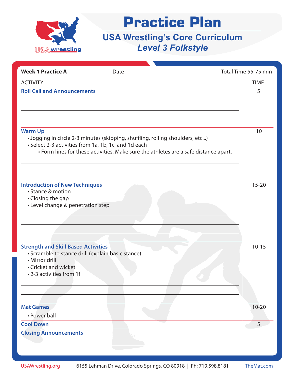

| <b>Week 1 Practice A</b>                                                                                                                                              |                                                                                                                                                                       | Total Time 55-75 min |             |
|-----------------------------------------------------------------------------------------------------------------------------------------------------------------------|-----------------------------------------------------------------------------------------------------------------------------------------------------------------------|----------------------|-------------|
| <b>ACTIVITY</b>                                                                                                                                                       |                                                                                                                                                                       |                      | <b>TIME</b> |
| <b>Roll Call and Announcements</b>                                                                                                                                    |                                                                                                                                                                       |                      | 5           |
| <b>Warm Up</b><br>• Select 2-3 activities from 1a, 1b, 1c, and 1d each                                                                                                | · Jogging in circle 2-3 minutes (skipping, shuffling, rolling shoulders, etc)<br>• Form lines for these activities. Make sure the athletes are a safe distance apart. |                      | 10          |
| <b>Introduction of New Techniques</b><br>• Stance & motion<br>• Closing the gap<br>• Level change & penetration step                                                  |                                                                                                                                                                       |                      | $15 - 20$   |
| <b>Strength and Skill Based Activities</b><br>· Scramble to stance drill (explain basic stance)<br>• Mirror drill<br>• Cricket and wicket<br>• 2-3 activities from 1f |                                                                                                                                                                       |                      | $10 - 15$   |
| <b>Mat Games</b><br>• Power ball                                                                                                                                      |                                                                                                                                                                       |                      | $10 - 20$   |
| <b>Cool Down</b>                                                                                                                                                      |                                                                                                                                                                       |                      | 5           |
| <b>Closing Announcements</b>                                                                                                                                          |                                                                                                                                                                       |                      |             |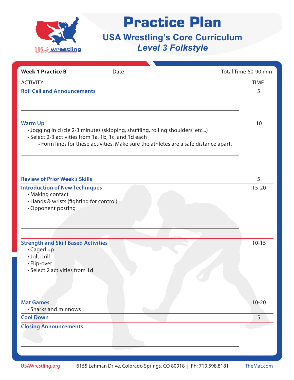

| <b>Week 1 Practice B</b>                                                                                                   |                                                                                                                                                                       | Total Time 60-90 min |
|----------------------------------------------------------------------------------------------------------------------------|-----------------------------------------------------------------------------------------------------------------------------------------------------------------------|----------------------|
| <b>ACTIVITY</b>                                                                                                            |                                                                                                                                                                       | <b>TIME</b>          |
| <b>Roll Call and Announcements</b>                                                                                         |                                                                                                                                                                       | 5                    |
| <b>Warm Up</b><br>• Select 2-3 activities from 1a, 1b, 1c, and 1d each                                                     | · Jogging in circle 2-3 minutes (skipping, shuffling, rolling shoulders, etc)<br>• Form lines for these activities. Make sure the athletes are a safe distance apart. | 10                   |
| <b>Review of Prior Week's Skills</b>                                                                                       |                                                                                                                                                                       | 5                    |
| <b>Introduction of New Techniques</b><br>• Making contact<br>• Hands & wrists (fighting for control)<br>• Opponent posting |                                                                                                                                                                       | $15 - 20$            |
| <b>Strength and Skill Based Activities</b><br>• Caged up<br>· Jolt drill<br>• Flip-over<br>• Select 2 activities from 1d   |                                                                                                                                                                       | $10 - 15$            |
| <b>Mat Games</b><br>• Sharks and minnows                                                                                   |                                                                                                                                                                       | $10 - 20$            |
| <b>Cool Down</b>                                                                                                           |                                                                                                                                                                       | 5                    |
| <b>Closing Announcements</b>                                                                                               |                                                                                                                                                                       |                      |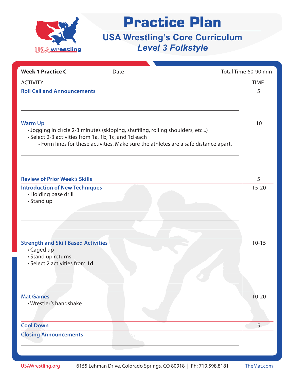

| <b>Week 1 Practice C</b>                                                                                        |                                                                                                                                                                       | Total Time 60-90 min |
|-----------------------------------------------------------------------------------------------------------------|-----------------------------------------------------------------------------------------------------------------------------------------------------------------------|----------------------|
| <b>ACTIVITY</b>                                                                                                 |                                                                                                                                                                       | <b>TIME</b>          |
| <b>Roll Call and Announcements</b>                                                                              |                                                                                                                                                                       | 5                    |
| <b>Warm Up</b><br>• Select 2-3 activities from 1a, 1b, 1c, and 1d each                                          | · Jogging in circle 2-3 minutes (skipping, shuffling, rolling shoulders, etc)<br>• Form lines for these activities. Make sure the athletes are a safe distance apart. | 10                   |
| <b>Review of Prior Week's Skills</b>                                                                            |                                                                                                                                                                       | 5                    |
| <b>Introduction of New Techniques</b><br>• Holding base drill<br>• Stand up                                     |                                                                                                                                                                       | $15 - 20$            |
| <b>Strength and Skill Based Activities</b><br>• Caged up<br>• Stand up returns<br>• Select 2 activities from 1d |                                                                                                                                                                       | $10 - 15$            |
| <b>Mat Games</b><br>• Wrestler's handshake                                                                      |                                                                                                                                                                       | $10 - 20$            |
| <b>Cool Down</b>                                                                                                |                                                                                                                                                                       | 5                    |
| <b>Closing Announcements</b>                                                                                    |                                                                                                                                                                       |                      |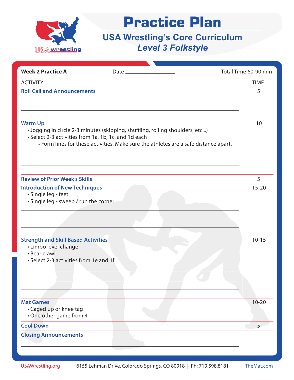

| <b>Week 2 Practice A</b>                                                                                                     |                                                                                                                                                                       | Total Time 60-90 min |
|------------------------------------------------------------------------------------------------------------------------------|-----------------------------------------------------------------------------------------------------------------------------------------------------------------------|----------------------|
| <b>ACTIVITY</b>                                                                                                              |                                                                                                                                                                       | <b>TIME</b>          |
| <b>Roll Call and Announcements</b>                                                                                           |                                                                                                                                                                       | 5                    |
| <b>Warm Up</b><br>• Select 2-3 activities from 1a, 1b, 1c, and 1d each                                                       | • Jogging in circle 2-3 minutes (skipping, shuffling, rolling shoulders, etc)<br>• Form lines for these activities. Make sure the athletes are a safe distance apart. | 10                   |
| <b>Review of Prior Week's Skills</b>                                                                                         |                                                                                                                                                                       | 5                    |
| <b>Introduction of New Techniques</b><br>· Single leg - feet<br>• Single leg - sweep / run the corner                        |                                                                                                                                                                       | $15 - 20$            |
| <b>Strength and Skill Based Activities</b><br>• Limbo level change<br>• Bear crawl<br>• Select 2-3 activities from 1e and 1f |                                                                                                                                                                       | $10 - 15$            |
| <b>Mat Games</b><br>• Caged up or knee tag<br>• One other game from 4                                                        |                                                                                                                                                                       | $10 - 20$            |
| <b>Cool Down</b>                                                                                                             |                                                                                                                                                                       | 5                    |
| <b>Closing Announcements</b>                                                                                                 |                                                                                                                                                                       |                      |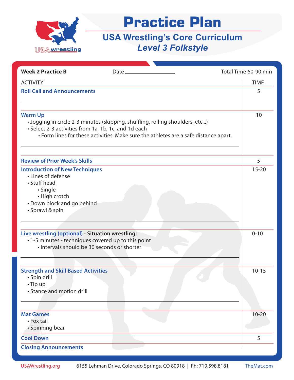

| <b>Week 2 Practice B</b>                             | $Date_$                                                                              | Total Time 60-90 min |
|------------------------------------------------------|--------------------------------------------------------------------------------------|----------------------|
| <b>ACTIVITY</b>                                      |                                                                                      | <b>TIME</b>          |
| <b>Roll Call and Announcements</b>                   |                                                                                      | 5                    |
|                                                      |                                                                                      |                      |
|                                                      |                                                                                      |                      |
| <b>Warm Up</b>                                       |                                                                                      | 10                   |
| • Select 2-3 activities from 1a, 1b, 1c, and 1d each | · Jogging in circle 2-3 minutes (skipping, shuffling, rolling shoulders, etc)        |                      |
|                                                      | • Form lines for these activities. Make sure the athletes are a safe distance apart. |                      |
|                                                      |                                                                                      |                      |
| <b>Review of Prior Week's Skills</b>                 |                                                                                      | 5                    |
| <b>Introduction of New Techniques</b>                |                                                                                      | $15 - 20$            |
| • Lines of defense                                   |                                                                                      |                      |
| • Stuff head                                         |                                                                                      |                      |
| · Single<br>• High crotch                            |                                                                                      |                      |
| • Down block and go behind                           |                                                                                      |                      |
| • Sprawl & spin                                      |                                                                                      |                      |
|                                                      |                                                                                      |                      |
|                                                      |                                                                                      |                      |
| Live wrestling (optional) - Situation wrestling:     |                                                                                      | $0 - 10$             |
| · 1-5 minutes - techniques covered up to this point  |                                                                                      |                      |
| · Intervals should be 30 seconds or shorter          |                                                                                      |                      |
|                                                      |                                                                                      |                      |
| <b>Strength and Skill Based Activities</b>           |                                                                                      | $10 - 15$            |
| · Spin drill                                         |                                                                                      |                      |
| $\cdot$ Tip up                                       |                                                                                      |                      |
| • Stance and motion drill                            |                                                                                      |                      |
|                                                      |                                                                                      |                      |
|                                                      |                                                                                      |                      |
| <b>Mat Games</b>                                     |                                                                                      | $10 - 20$            |
| • Fox tail                                           |                                                                                      |                      |
| • Spinning bear                                      |                                                                                      |                      |
| <b>Cool Down</b>                                     |                                                                                      | 5                    |
| <b>Closing Announcements</b>                         |                                                                                      |                      |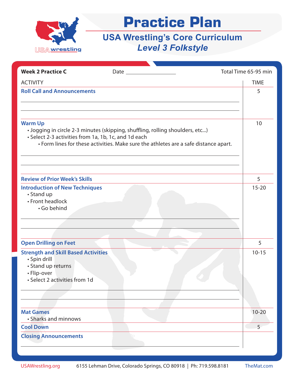

| <b>Week 2 Practice C</b>                                                                                                         | Date $\qquad \qquad$                                                                                                                                                  | Total Time 65-95 min |
|----------------------------------------------------------------------------------------------------------------------------------|-----------------------------------------------------------------------------------------------------------------------------------------------------------------------|----------------------|
| <b>ACTIVITY</b>                                                                                                                  |                                                                                                                                                                       | <b>TIME</b>          |
| <b>Roll Call and Announcements</b>                                                                                               |                                                                                                                                                                       | 5                    |
| <b>Warm Up</b><br>• Select 2-3 activities from 1a, 1b, 1c, and 1d each                                                           | · Jogging in circle 2-3 minutes (skipping, shuffling, rolling shoulders, etc)<br>• Form lines for these activities. Make sure the athletes are a safe distance apart. | 10                   |
| <b>Review of Prior Week's Skills</b>                                                                                             |                                                                                                                                                                       | 5                    |
| <b>Introduction of New Techniques</b><br>• Stand up<br>• Front headlock<br>· Go behind                                           |                                                                                                                                                                       | $15 - 20$            |
| <b>Open Drilling on Feet</b>                                                                                                     |                                                                                                                                                                       | 5                    |
| <b>Strength and Skill Based Activities</b><br>· Spin drill<br>• Stand up returns<br>• Flip-over<br>• Select 2 activities from 1d |                                                                                                                                                                       | $10 - 15$            |
| <b>Mat Games</b>                                                                                                                 |                                                                                                                                                                       | $10 - 20$            |
| • Sharks and minnows<br><b>Cool Down</b>                                                                                         |                                                                                                                                                                       | 5 <sup>2</sup>       |
| <b>Closing Announcements</b>                                                                                                     |                                                                                                                                                                       |                      |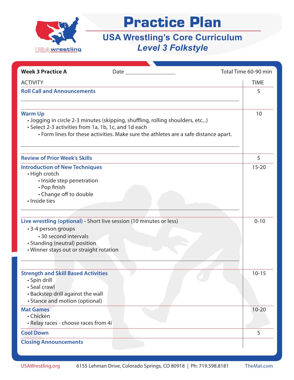

| <b>Week 3 Practice A</b>                                   | Date and the state of the state of the state of the state of the state of the state of the state of the state o | Total Time 60-90 min |
|------------------------------------------------------------|-----------------------------------------------------------------------------------------------------------------|----------------------|
| <b>ACTIVITY</b>                                            |                                                                                                                 | <b>TIME</b>          |
| <b>Roll Call and Announcements</b>                         |                                                                                                                 | 5                    |
|                                                            |                                                                                                                 |                      |
| <b>Warm Up</b>                                             |                                                                                                                 | 10                   |
|                                                            | . Jogging in circle 2-3 minutes (skipping, shuffling, rolling shoulders, etc)                                   |                      |
| • Select 2-3 activities from 1a, 1b, 1c, and 1d each       |                                                                                                                 |                      |
|                                                            | • Form lines for these activities. Make sure the athletes are a safe distance apart.                            |                      |
|                                                            |                                                                                                                 |                      |
| <b>Review of Prior Week's Skills</b>                       |                                                                                                                 | 5                    |
| <b>Introduction of New Techniques</b>                      |                                                                                                                 | $15 - 20$            |
| • High crotch<br>· Inside step penetration                 |                                                                                                                 |                      |
| • Pop finish                                               |                                                                                                                 |                      |
| • Change off to double                                     |                                                                                                                 |                      |
| · Inside ties                                              |                                                                                                                 |                      |
|                                                            |                                                                                                                 |                      |
|                                                            | Live wrestling (optional) - Short live session (10 minutes or less)                                             | $0 - 10$             |
| • 3-4 person groups                                        |                                                                                                                 |                      |
| • 30 second intervals<br>• Standing (neutral) position     |                                                                                                                 |                      |
| • Winner stays out or straight rotation                    |                                                                                                                 |                      |
|                                                            |                                                                                                                 |                      |
|                                                            |                                                                                                                 |                      |
| <b>Strength and Skill Based Activities</b><br>· Spin drill |                                                                                                                 | $10 - 15$            |
| • Seal crawl                                               |                                                                                                                 |                      |
| • Backstep drill against the wall                          |                                                                                                                 |                      |
| • Stance and motion (optional)                             |                                                                                                                 |                      |
| <b>Mat Games</b>                                           |                                                                                                                 | $10 - 20$            |
| • Chicken<br>· Relay races - choose races from 4i          |                                                                                                                 |                      |
|                                                            |                                                                                                                 |                      |
| <b>Cool Down</b>                                           |                                                                                                                 | 5                    |
| <b>Closing Announcements</b>                               |                                                                                                                 |                      |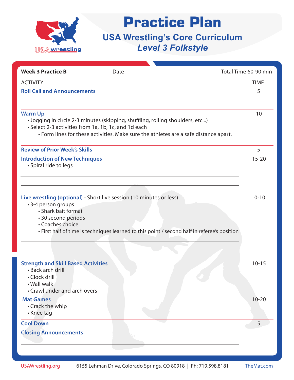

| <b>Week 3 Practice B</b>                                                                                                                                     | $Date$ $\qquad \qquad$                                                                       | Total Time 60-90 min |
|--------------------------------------------------------------------------------------------------------------------------------------------------------------|----------------------------------------------------------------------------------------------|----------------------|
|                                                                                                                                                              |                                                                                              |                      |
| <b>ACTIVITY</b><br><b>Roll Call and Announcements</b>                                                                                                        |                                                                                              | <b>TIME</b>          |
|                                                                                                                                                              |                                                                                              | 5                    |
|                                                                                                                                                              |                                                                                              |                      |
| <b>Warm Up</b><br>· Jogging in circle 2-3 minutes (skipping, shuffling, rolling shoulders, etc)<br>• Select 2-3 activities from 1a, 1b, 1c, and 1d each      | • Form lines for these activities. Make sure the athletes are a safe distance apart.         | 10                   |
| <b>Review of Prior Week's Skills</b>                                                                                                                         |                                                                                              | 5                    |
| <b>Introduction of New Techniques</b><br>• Spiral ride to legs                                                                                               |                                                                                              | $15 - 20$            |
| Live wrestling (optional) - Short live session (10 minutes or less)<br>• 3-4 person groups<br>• Shark bait format<br>• 30 second periods<br>• Coaches choice | • First half of time is techniques learned to this point / second half in referee's position | $0 - 10$             |
| <b>Strength and Skill Based Activities</b><br>• Back arch drill<br>• Clock drill<br>• Wall walk<br>• Crawl under and arch overs                              |                                                                                              | $10 - 15$            |
| <b>Mat Games</b><br>• Crack the whip<br>• Knee tag                                                                                                           |                                                                                              | $10 - 20$            |
| <b>Cool Down</b>                                                                                                                                             |                                                                                              | 5                    |
| <b>Closing Announcements</b>                                                                                                                                 |                                                                                              |                      |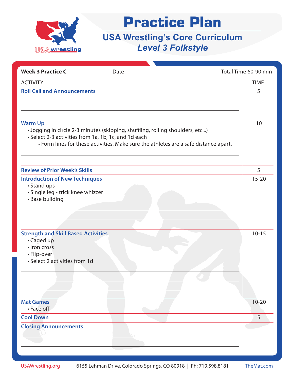

| <b>Week 3 Practice C</b>                                                                                                                                                                                                                 |                                                                                      | Total Time 60-90 min   |
|------------------------------------------------------------------------------------------------------------------------------------------------------------------------------------------------------------------------------------------|--------------------------------------------------------------------------------------|------------------------|
| <b>ACTIVITY</b>                                                                                                                                                                                                                          |                                                                                      | <b>TIME</b>            |
| <b>Roll Call and Announcements</b>                                                                                                                                                                                                       |                                                                                      | 5                      |
|                                                                                                                                                                                                                                          |                                                                                      |                        |
| <b>Warm Up</b><br>· Jogging in circle 2-3 minutes (skipping, shuffling, rolling shoulders, etc)<br>• Select 2-3 activities from 1a, 1b, 1c, and 1d each                                                                                  | • Form lines for these activities. Make sure the athletes are a safe distance apart. | 10                     |
| <b>Review of Prior Week's Skills</b>                                                                                                                                                                                                     |                                                                                      | 5                      |
| <b>Introduction of New Techniques</b><br>• Stand ups<br>· Single leg - trick knee whizzer<br>• Base building<br><b>Strength and Skill Based Activities</b><br>• Caged up<br>· Iron cross<br>• Flip-over<br>• Select 2 activities from 1d |                                                                                      | $15 - 20$<br>$10 - 15$ |
| <b>Mat Games</b><br>• Face off                                                                                                                                                                                                           |                                                                                      | $10 - 20$              |
| <b>Cool Down</b>                                                                                                                                                                                                                         |                                                                                      | 5                      |
| <b>Closing Announcements</b>                                                                                                                                                                                                             |                                                                                      |                        |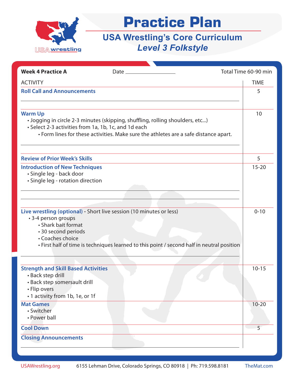

| <b>Week 4 Practice A</b><br>Date $\_\_$                                                                                                                                                                                                                    | Total Time 60-90 min |
|------------------------------------------------------------------------------------------------------------------------------------------------------------------------------------------------------------------------------------------------------------|----------------------|
| <b>ACTIVITY</b>                                                                                                                                                                                                                                            | <b>TIME</b>          |
| <b>Roll Call and Announcements</b>                                                                                                                                                                                                                         | 5                    |
|                                                                                                                                                                                                                                                            |                      |
| <b>Warm Up</b><br>• Jogging in circle 2-3 minutes (skipping, shuffling, rolling shoulders, etc)<br>• Select 2-3 activities from 1a, 1b, 1c, and 1d each<br>• Form lines for these activities. Make sure the athletes are a safe distance apart.            | 10                   |
| <b>Review of Prior Week's Skills</b>                                                                                                                                                                                                                       | 5                    |
| <b>Introduction of New Techniques</b><br>· Single leg - back door<br>· Single leg - rotation direction                                                                                                                                                     | $15 - 20$            |
| Live wrestling (optional) - Short live session (10 minutes or less)<br>• 3-4 person groups<br>• Shark bait format<br>• 30 second periods<br>• Coaches choice<br>• First half of time is techniques learned to this point / second half in neutral position | $0 - 10$             |
| <b>Strength and Skill Based Activities</b><br>• Back step drill<br>• Back step somersault drill<br>• Flip overs<br>• 1 activity from 1b, 1e, or 1f                                                                                                         | $10 - 15$            |
| <b>Mat Games</b><br>• Switcher<br>• Power ball                                                                                                                                                                                                             | $10 - 20$            |
| <b>Cool Down</b>                                                                                                                                                                                                                                           | 5                    |
| <b>Closing Announcements</b>                                                                                                                                                                                                                               |                      |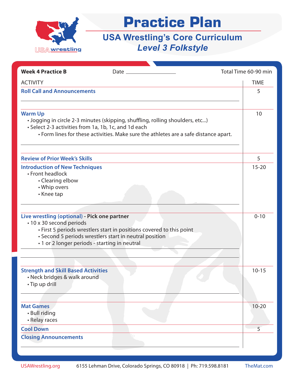

| <b>Week 4 Practice B</b>                                                                                                  |                                                                                                                                                                       | Total Time 60-90 min |
|---------------------------------------------------------------------------------------------------------------------------|-----------------------------------------------------------------------------------------------------------------------------------------------------------------------|----------------------|
| <b>ACTIVITY</b>                                                                                                           |                                                                                                                                                                       | <b>TIME</b>          |
| <b>Roll Call and Announcements</b>                                                                                        |                                                                                                                                                                       | 5                    |
|                                                                                                                           |                                                                                                                                                                       |                      |
| <b>Warm Up</b><br>• Select 2-3 activities from 1a, 1b, 1c, and 1d each                                                    | . Jogging in circle 2-3 minutes (skipping, shuffling, rolling shoulders, etc)<br>• Form lines for these activities. Make sure the athletes are a safe distance apart. | 10                   |
| <b>Review of Prior Week's Skills</b>                                                                                      |                                                                                                                                                                       | 5                    |
| <b>Introduction of New Techniques</b><br>• Front headlock<br>• Clearing elbow<br>• Whip overs<br>• Knee tap               |                                                                                                                                                                       | $15 - 20$            |
| Live wrestling (optional) - Pick one partner<br>• 10 x 30 second periods<br>· 1 or 2 longer periods - starting in neutral | • First 5 periods wrestlers start in positions covered to this point<br>• Second 5 periods wrestlers start in neutral position                                        | $0 - 10$             |
| <b>Strength and Skill Based Activities</b><br>• Neck bridges & walk around<br>· Tip up drill                              |                                                                                                                                                                       | $10 - 15$            |
| <b>Mat Games</b><br>• Bull riding<br>• Relay races                                                                        |                                                                                                                                                                       | $10 - 20$            |
| <b>Cool Down</b>                                                                                                          |                                                                                                                                                                       | 5                    |
| <b>Closing Announcements</b>                                                                                              |                                                                                                                                                                       |                      |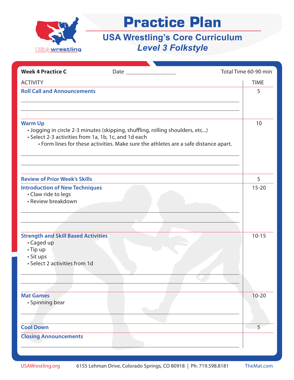

| <b>Week 4 Practice C</b>                                                                                                 |                                                                                                                                                                       | Total Time 60-90 min |
|--------------------------------------------------------------------------------------------------------------------------|-----------------------------------------------------------------------------------------------------------------------------------------------------------------------|----------------------|
| <b>ACTIVITY</b>                                                                                                          |                                                                                                                                                                       | <b>TIME</b>          |
| <b>Roll Call and Announcements</b>                                                                                       |                                                                                                                                                                       | 5                    |
| <b>Warm Up</b><br>• Select 2-3 activities from 1a, 1b, 1c, and 1d each                                                   | · Jogging in circle 2-3 minutes (skipping, shuffling, rolling shoulders, etc)<br>• Form lines for these activities. Make sure the athletes are a safe distance apart. | 10                   |
| <b>Review of Prior Week's Skills</b>                                                                                     |                                                                                                                                                                       | 5                    |
| <b>Introduction of New Techniques</b><br>• Claw ride to legs<br>• Review breakdown                                       |                                                                                                                                                                       | $15 - 20$            |
| <b>Strength and Skill Based Activities</b><br>• Caged up<br>• Tip up<br>$\cdot$ Sit ups<br>• Select 2 activities from 1d |                                                                                                                                                                       | $10 - 15$            |
| <b>Mat Games</b><br>• Spinning bear                                                                                      |                                                                                                                                                                       | $10 - 20$            |
| <b>Cool Down</b>                                                                                                         |                                                                                                                                                                       | 5                    |
| <b>Closing Announcements</b>                                                                                             |                                                                                                                                                                       |                      |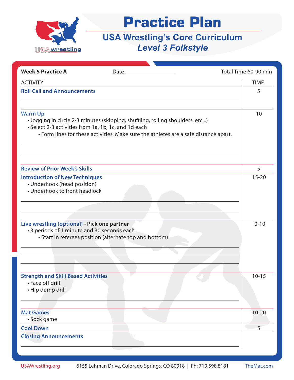

| <b>Week 5 Practice A</b>                                                                              |                                                                                                                                                                       | Total Time 60-90 min |
|-------------------------------------------------------------------------------------------------------|-----------------------------------------------------------------------------------------------------------------------------------------------------------------------|----------------------|
| <b>ACTIVITY</b>                                                                                       |                                                                                                                                                                       | <b>TIME</b>          |
| <b>Roll Call and Announcements</b>                                                                    |                                                                                                                                                                       | 5                    |
| <b>Warm Up</b><br>• Select 2-3 activities from 1a, 1b, 1c, and 1d each                                | · Jogging in circle 2-3 minutes (skipping, shuffling, rolling shoulders, etc)<br>• Form lines for these activities. Make sure the athletes are a safe distance apart. | 10                   |
| <b>Review of Prior Week's Skills</b>                                                                  |                                                                                                                                                                       | 5                    |
| <b>Introduction of New Techniques</b><br>• Underhook (head position)<br>• Underhook to front headlock |                                                                                                                                                                       | $15 - 20$            |
| Live wrestling (optional) - Pick one partner<br>• 3 periods of 1 minute and 30 seconds each           | • Start in referees position (alternate top and bottom)                                                                                                               | $0 - 10$             |
| <b>Strength and Skill Based Activities</b><br>• Face off drill<br>· Hip dump drill                    |                                                                                                                                                                       | $10 - 15$            |
| <b>Mat Games</b><br>· Sock game                                                                       |                                                                                                                                                                       | $10 - 20$            |
| <b>Cool Down</b>                                                                                      |                                                                                                                                                                       | 5                    |
| <b>Closing Announcements</b>                                                                          |                                                                                                                                                                       |                      |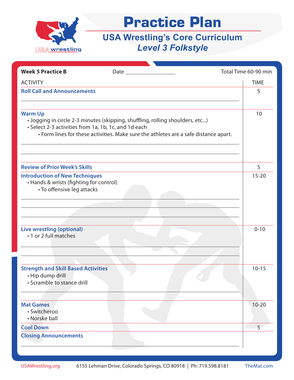

| <b>Week 5 Practice B</b>                                                                                       |                                                                                                                                                                       | Total Time 60-90 min |
|----------------------------------------------------------------------------------------------------------------|-----------------------------------------------------------------------------------------------------------------------------------------------------------------------|----------------------|
| <b>ACTIVITY</b>                                                                                                |                                                                                                                                                                       | <b>TIME</b>          |
| <b>Roll Call and Announcements</b>                                                                             |                                                                                                                                                                       | 5                    |
|                                                                                                                |                                                                                                                                                                       |                      |
| <b>Warm Up</b><br>• Select 2-3 activities from 1a, 1b, 1c, and 1d each                                         | . Jogging in circle 2-3 minutes (skipping, shuffling, rolling shoulders, etc)<br>• Form lines for these activities. Make sure the athletes are a safe distance apart. | 10                   |
| <b>Review of Prior Week's Skills</b>                                                                           |                                                                                                                                                                       | 5                    |
| <b>Introduction of New Techniques</b><br>• Hands & wrists (fighting for control)<br>• To offensive leg attacks |                                                                                                                                                                       | $15 - 20$            |
| <b>Live wrestling (optional)</b><br>• 1 or 2 full matches                                                      |                                                                                                                                                                       | $0 - 10$             |
| <b>Strength and Skill Based Activities</b><br>• Hip dump drill<br>• Scramble to stance drill                   |                                                                                                                                                                       | $10 - 15$            |
| <b>Mat Games</b><br>· Switcheroo<br>• Norske ball                                                              |                                                                                                                                                                       | $10 - 20$            |
| <b>Cool Down</b>                                                                                               |                                                                                                                                                                       | 5 <sup>1</sup>       |
| <b>Closing Announcements</b>                                                                                   |                                                                                                                                                                       |                      |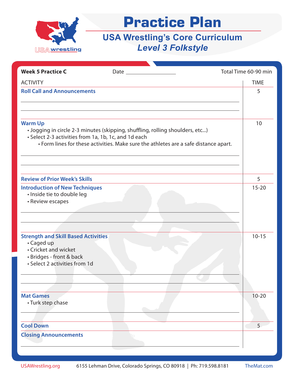

| <b>Week 5 Practice C</b>                                                                                                                      |                                                                                                                                                                       | Total Time 60-90 min |
|-----------------------------------------------------------------------------------------------------------------------------------------------|-----------------------------------------------------------------------------------------------------------------------------------------------------------------------|----------------------|
| <b>ACTIVITY</b>                                                                                                                               |                                                                                                                                                                       | <b>TIME</b>          |
| <b>Roll Call and Announcements</b>                                                                                                            |                                                                                                                                                                       | 5                    |
| <b>Warm Up</b><br>• Select 2-3 activities from 1a, 1b, 1c, and 1d each                                                                        | · Jogging in circle 2-3 minutes (skipping, shuffling, rolling shoulders, etc)<br>• Form lines for these activities. Make sure the athletes are a safe distance apart. | 10                   |
| <b>Review of Prior Week's Skills</b>                                                                                                          |                                                                                                                                                                       | 5                    |
| <b>Introduction of New Techniques</b><br>· Inside tie to double leg<br>• Review escapes                                                       |                                                                                                                                                                       | $15 - 20$            |
| <b>Strength and Skill Based Activities</b><br>• Caged up<br>• Cricket and wicket<br>• Bridges - front & back<br>• Select 2 activities from 1d |                                                                                                                                                                       | $10 - 15$            |
| <b>Mat Games</b><br>• Turk step chase                                                                                                         |                                                                                                                                                                       | $10 - 20$            |
| <b>Cool Down</b>                                                                                                                              |                                                                                                                                                                       | 5                    |
| <b>Closing Announcements</b>                                                                                                                  |                                                                                                                                                                       |                      |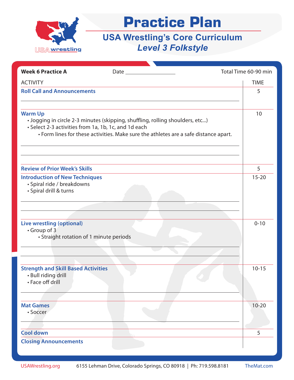

| <b>Week 6 Practice A</b>                                                                      |                                                                               | Total Time 60-90 min                                                                       |
|-----------------------------------------------------------------------------------------------|-------------------------------------------------------------------------------|--------------------------------------------------------------------------------------------|
| <b>ACTIVITY</b>                                                                               |                                                                               | <b>TIME</b>                                                                                |
| <b>Roll Call and Announcements</b>                                                            |                                                                               | 5                                                                                          |
| <b>Warm Up</b><br>• Select 2-3 activities from 1a, 1b, 1c, and 1d each                        | . Jogging in circle 2-3 minutes (skipping, shuffling, rolling shoulders, etc) | 10<br>• Form lines for these activities. Make sure the athletes are a safe distance apart. |
| <b>Review of Prior Week's Skills</b>                                                          |                                                                               | 5                                                                                          |
| <b>Introduction of New Techniques</b><br>· Spiral ride / breakdowns<br>· Spiral drill & turns |                                                                               | $15 - 20$                                                                                  |
| <b>Live wrestling (optional)</b><br>• Group of 3<br>• Straight rotation of 1 minute periods   |                                                                               | $0 - 10$                                                                                   |
| <b>Strength and Skill Based Activities</b><br>• Bull riding drill<br>• Face off drill         |                                                                               | $10 - 15$                                                                                  |
| <b>Mat Games</b><br>· Soccer                                                                  |                                                                               | $10 - 20$                                                                                  |
| <b>Cool down</b>                                                                              |                                                                               | 5                                                                                          |
| <b>Closing Announcements</b>                                                                  |                                                                               |                                                                                            |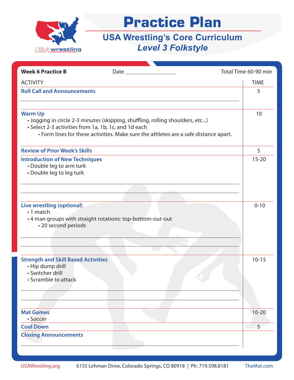

| <b>Week 6 Practice B</b>                                                                                                          |                                                                                                                                                                       | Total Time 60-90 min |
|-----------------------------------------------------------------------------------------------------------------------------------|-----------------------------------------------------------------------------------------------------------------------------------------------------------------------|----------------------|
| <b>ACTIVITY</b>                                                                                                                   |                                                                                                                                                                       | <b>TIME</b>          |
| <b>Roll Call and Announcements</b>                                                                                                |                                                                                                                                                                       | 5                    |
|                                                                                                                                   |                                                                                                                                                                       |                      |
| <b>Warm Up</b><br>• Select 2-3 activities from 1a, 1b, 1c, and 1d each                                                            | . Jogging in circle 2-3 minutes (skipping, shuffling, rolling shoulders, etc)<br>• Form lines for these activities. Make sure the athletes are a safe distance apart. | 10                   |
| <b>Review of Prior Week's Skills</b>                                                                                              |                                                                                                                                                                       | 5                    |
| <b>Introduction of New Techniques</b><br>• Double leg to arm turk<br>• Double leg to leg turk                                     |                                                                                                                                                                       | $15 - 20$            |
| <b>Live wrestling (optional)</b><br>•1 match<br>• 4 man groups with straight rotations: top-bottom-out-out<br>• 20 second periods |                                                                                                                                                                       | $0 - 10$             |
| <b>Strength and Skill Based Activities</b><br>· Hip dump drill<br>· Switcher drill<br>• Scramble to attack                        |                                                                                                                                                                       | $10 - 15$            |
| <b>Mat Games</b><br>• Soccer                                                                                                      |                                                                                                                                                                       | $10 - 20$            |
| <b>Cool Down</b>                                                                                                                  |                                                                                                                                                                       | 5                    |
| <b>Closing Announcements</b>                                                                                                      |                                                                                                                                                                       |                      |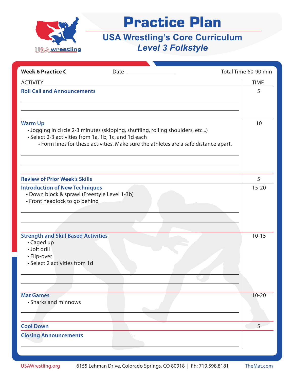

| <b>Week 6 Practice C</b>                                                                                                 |                                                                                                                                                                       | Total Time 60-90 min |
|--------------------------------------------------------------------------------------------------------------------------|-----------------------------------------------------------------------------------------------------------------------------------------------------------------------|----------------------|
| <b>ACTIVITY</b>                                                                                                          |                                                                                                                                                                       | <b>TIME</b>          |
| <b>Roll Call and Announcements</b>                                                                                       |                                                                                                                                                                       | 5                    |
| <b>Warm Up</b><br>• Select 2-3 activities from 1a, 1b, 1c, and 1d each                                                   | · Jogging in circle 2-3 minutes (skipping, shuffling, rolling shoulders, etc)<br>• Form lines for these activities. Make sure the athletes are a safe distance apart. | 10                   |
| <b>Review of Prior Week's Skills</b>                                                                                     |                                                                                                                                                                       | 5                    |
| <b>Introduction of New Techniques</b><br>· Down block & sprawl (Freestyle Level 1-3b)<br>• Front headlock to go behind   |                                                                                                                                                                       | $15 - 20$            |
| <b>Strength and Skill Based Activities</b><br>• Caged up<br>· Jolt drill<br>• Flip-over<br>• Select 2 activities from 1d |                                                                                                                                                                       | $10 - 15$            |
| <b>Mat Games</b><br>• Sharks and minnows                                                                                 |                                                                                                                                                                       | $10 - 20$            |
| <b>Cool Down</b>                                                                                                         |                                                                                                                                                                       | 5                    |
| <b>Closing Announcements</b>                                                                                             |                                                                                                                                                                       |                      |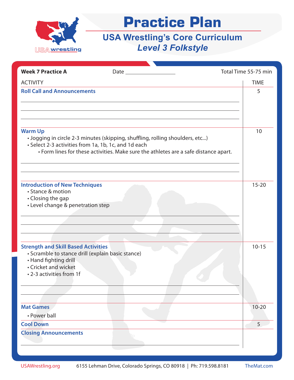

| <b>Week 7 Practice A</b>                               | Date $\qquad \qquad$                                                                 | Total Time 55-75 min |             |
|--------------------------------------------------------|--------------------------------------------------------------------------------------|----------------------|-------------|
| <b>ACTIVITY</b>                                        |                                                                                      |                      | <b>TIME</b> |
| <b>Roll Call and Announcements</b>                     |                                                                                      |                      | 5           |
|                                                        |                                                                                      |                      |             |
|                                                        |                                                                                      |                      |             |
|                                                        |                                                                                      |                      |             |
| <b>Warm Up</b>                                         |                                                                                      |                      | 10          |
| • Select 2-3 activities from 1a, 1b, 1c, and 1d each   | · Jogging in circle 2-3 minutes (skipping, shuffling, rolling shoulders, etc)        |                      |             |
|                                                        | • Form lines for these activities. Make sure the athletes are a safe distance apart. |                      |             |
|                                                        |                                                                                      |                      |             |
|                                                        |                                                                                      |                      |             |
| <b>Introduction of New Techniques</b>                  |                                                                                      |                      | $15 - 20$   |
| • Stance & motion                                      |                                                                                      |                      |             |
| • Closing the gap<br>• Level change & penetration step |                                                                                      |                      |             |
|                                                        |                                                                                      |                      |             |
|                                                        |                                                                                      |                      |             |
|                                                        |                                                                                      |                      |             |
| <b>Strength and Skill Based Activities</b>             |                                                                                      |                      | $10 - 15$   |
| · Scramble to stance drill (explain basic stance)      |                                                                                      |                      |             |
| • Hand fighting drill<br>• Cricket and wicket          |                                                                                      |                      |             |
| • 2-3 activities from 1f                               |                                                                                      |                      |             |
|                                                        |                                                                                      |                      |             |
|                                                        |                                                                                      |                      |             |
| <b>Mat Games</b>                                       |                                                                                      |                      | $10 - 20$   |
| • Power ball                                           |                                                                                      |                      |             |
| <b>Cool Down</b>                                       |                                                                                      |                      | 5           |
| <b>Closing Announcements</b>                           |                                                                                      |                      |             |
|                                                        |                                                                                      |                      |             |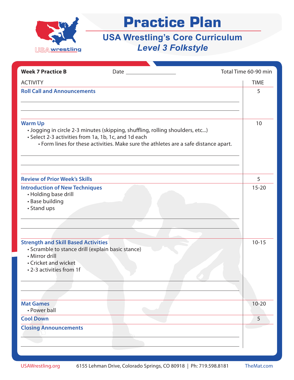

| <b>Week 7 Practice B</b>                                                                                                                                              |                                                                                                                                                                       | Total Time 60-90 min |
|-----------------------------------------------------------------------------------------------------------------------------------------------------------------------|-----------------------------------------------------------------------------------------------------------------------------------------------------------------------|----------------------|
| <b>ACTIVITY</b>                                                                                                                                                       |                                                                                                                                                                       | <b>TIME</b>          |
| <b>Roll Call and Announcements</b>                                                                                                                                    |                                                                                                                                                                       | 5                    |
| <b>Warm Up</b><br>• Select 2-3 activities from 1a, 1b, 1c, and 1d each                                                                                                | · Jogging in circle 2-3 minutes (skipping, shuffling, rolling shoulders, etc)<br>• Form lines for these activities. Make sure the athletes are a safe distance apart. | 10                   |
| <b>Review of Prior Week's Skills</b>                                                                                                                                  |                                                                                                                                                                       | 5                    |
| <b>Introduction of New Techniques</b><br>• Holding base drill<br>• Base building<br>• Stand ups                                                                       |                                                                                                                                                                       | $15 - 20$            |
| <b>Strength and Skill Based Activities</b><br>• Scramble to stance drill (explain basic stance)<br>• Mirror drill<br>• Cricket and wicket<br>• 2-3 activities from 1f |                                                                                                                                                                       | $10 - 15$            |
| <b>Mat Games</b><br>• Power ball                                                                                                                                      |                                                                                                                                                                       | $10 - 20$            |
| <b>Cool Down</b>                                                                                                                                                      |                                                                                                                                                                       | 5                    |
| <b>Closing Announcements</b>                                                                                                                                          |                                                                                                                                                                       |                      |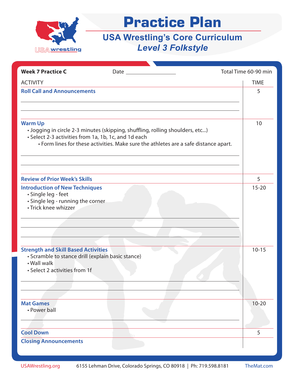

| <b>Week 7 Practice C</b>                                                                                                                        |                                                                                                                                                                       | Total Time 60-90 min |
|-------------------------------------------------------------------------------------------------------------------------------------------------|-----------------------------------------------------------------------------------------------------------------------------------------------------------------------|----------------------|
| <b>ACTIVITY</b>                                                                                                                                 |                                                                                                                                                                       | <b>TIME</b>          |
| <b>Roll Call and Announcements</b>                                                                                                              |                                                                                                                                                                       | 5                    |
| <b>Warm Up</b><br>• Select 2-3 activities from 1a, 1b, 1c, and 1d each                                                                          | · Jogging in circle 2-3 minutes (skipping, shuffling, rolling shoulders, etc)<br>• Form lines for these activities. Make sure the athletes are a safe distance apart. | 10                   |
| <b>Review of Prior Week's Skills</b>                                                                                                            |                                                                                                                                                                       | 5                    |
| <b>Introduction of New Techniques</b><br>· Single leg - feet<br>· Single leg - running the corner<br>• Trick knee whizzer                       |                                                                                                                                                                       | $15 - 20$            |
| <b>Strength and Skill Based Activities</b><br>· Scramble to stance drill (explain basic stance)<br>• Wall walk<br>• Select 2 activities from 1f |                                                                                                                                                                       | $10 - 15$            |
| <b>Mat Games</b><br>• Power ball                                                                                                                |                                                                                                                                                                       | $10 - 20$            |
| <b>Cool Down</b>                                                                                                                                |                                                                                                                                                                       | 5                    |
| <b>Closing Announcements</b>                                                                                                                    |                                                                                                                                                                       |                      |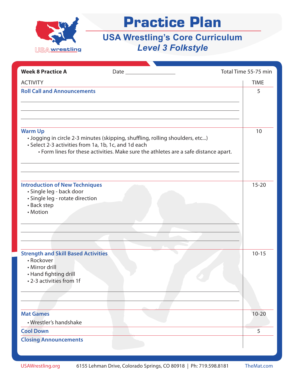

| <b>Week 8 Practice A</b>                                                                                                        |                                                                                                                                                                       | Total Time 55-75 min |  |
|---------------------------------------------------------------------------------------------------------------------------------|-----------------------------------------------------------------------------------------------------------------------------------------------------------------------|----------------------|--|
| <b>ACTIVITY</b>                                                                                                                 |                                                                                                                                                                       | <b>TIME</b>          |  |
| <b>Roll Call and Announcements</b>                                                                                              |                                                                                                                                                                       | 5                    |  |
| <b>Warm Up</b><br>• Select 2-3 activities from 1a, 1b, 1c, and 1d each                                                          | • Jogging in circle 2-3 minutes (skipping, shuffling, rolling shoulders, etc)<br>• Form lines for these activities. Make sure the athletes are a safe distance apart. | 10                   |  |
| <b>Introduction of New Techniques</b><br>· Single leg - back door<br>· Single leg - rotate direction<br>• Back step<br>• Motion |                                                                                                                                                                       | $15 - 20$            |  |
| <b>Strength and Skill Based Activities</b><br>• Rockover<br>• Mirror drill<br>• Hand fighting drill<br>• 2-3 activities from 1f |                                                                                                                                                                       | $10 - 15$            |  |
| <b>Mat Games</b>                                                                                                                |                                                                                                                                                                       | $10 - 20$            |  |
| • Wrestler's handshake<br><b>Cool Down</b>                                                                                      |                                                                                                                                                                       | 5                    |  |
| <b>Closing Announcements</b>                                                                                                    |                                                                                                                                                                       |                      |  |
|                                                                                                                                 |                                                                                                                                                                       |                      |  |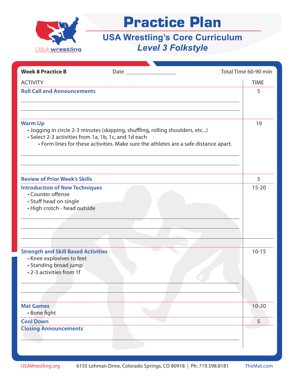

| <b>Week 8 Practice B</b>                                                                                                     |                                                                                                                                                                       | Total Time 60-90 min |
|------------------------------------------------------------------------------------------------------------------------------|-----------------------------------------------------------------------------------------------------------------------------------------------------------------------|----------------------|
| <b>ACTIVITY</b>                                                                                                              |                                                                                                                                                                       | <b>TIME</b>          |
| <b>Roll Call and Announcements</b>                                                                                           |                                                                                                                                                                       | 5                    |
| <b>Warm Up</b><br>• Select 2-3 activities from 1a, 1b, 1c, and 1d each                                                       | · Jogging in circle 2-3 minutes (skipping, shuffling, rolling shoulders, etc)<br>• Form lines for these activities. Make sure the athletes are a safe distance apart. | 10                   |
| <b>Review of Prior Week's Skills</b>                                                                                         |                                                                                                                                                                       | 5                    |
| <b>Introduction of New Techniques</b><br>• Counter offense<br>• Stuff head on single<br>· High crotch - head outside         |                                                                                                                                                                       | $15 - 20$            |
| <b>Strength and Skill Based Activities</b><br>• Knee explosives to feet<br>• Standing broad jump<br>• 2-3 activities from 1f |                                                                                                                                                                       | $10 - 15$            |
| <b>Mat Games</b><br>• Bone fight                                                                                             |                                                                                                                                                                       | $10 - 20$            |
| <b>Cool Down</b>                                                                                                             |                                                                                                                                                                       | 5                    |
| <b>Closing Announcements</b>                                                                                                 |                                                                                                                                                                       |                      |